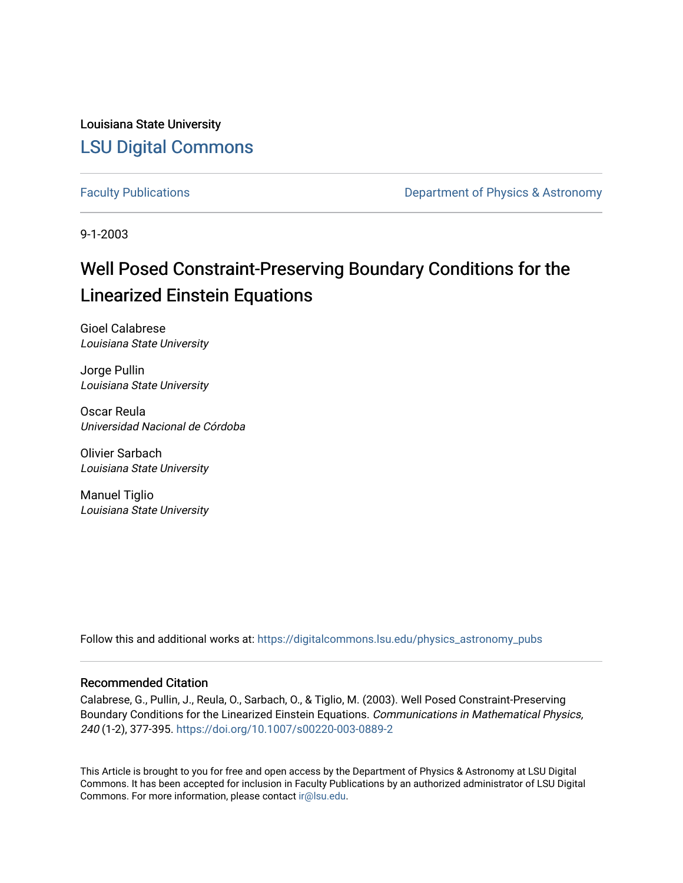Louisiana State University [LSU Digital Commons](https://digitalcommons.lsu.edu/)

[Faculty Publications](https://digitalcommons.lsu.edu/physics_astronomy_pubs) **Exercise 2 and Table 2 and Table 2 and Table 2 and Table 2 and Table 2 and Table 2 and Table 2 and Table 2 and Table 2 and Table 2 and Table 2 and Table 2 and Table 2 and Table 2 and Table 2 and Table** 

9-1-2003

# Well Posed Constraint-Preserving Boundary Conditions for the Linearized Einstein Equations

Gioel Calabrese Louisiana State University

Jorge Pullin Louisiana State University

Oscar Reula Universidad Nacional de Córdoba

Olivier Sarbach Louisiana State University

Manuel Tiglio Louisiana State University

Follow this and additional works at: [https://digitalcommons.lsu.edu/physics\\_astronomy\\_pubs](https://digitalcommons.lsu.edu/physics_astronomy_pubs?utm_source=digitalcommons.lsu.edu%2Fphysics_astronomy_pubs%2F4393&utm_medium=PDF&utm_campaign=PDFCoverPages) 

# Recommended Citation

Calabrese, G., Pullin, J., Reula, O., Sarbach, O., & Tiglio, M. (2003). Well Posed Constraint-Preserving Boundary Conditions for the Linearized Einstein Equations. Communications in Mathematical Physics, 240 (1-2), 377-395.<https://doi.org/10.1007/s00220-003-0889-2>

This Article is brought to you for free and open access by the Department of Physics & Astronomy at LSU Digital Commons. It has been accepted for inclusion in Faculty Publications by an authorized administrator of LSU Digital Commons. For more information, please contact [ir@lsu.edu](mailto:ir@lsu.edu).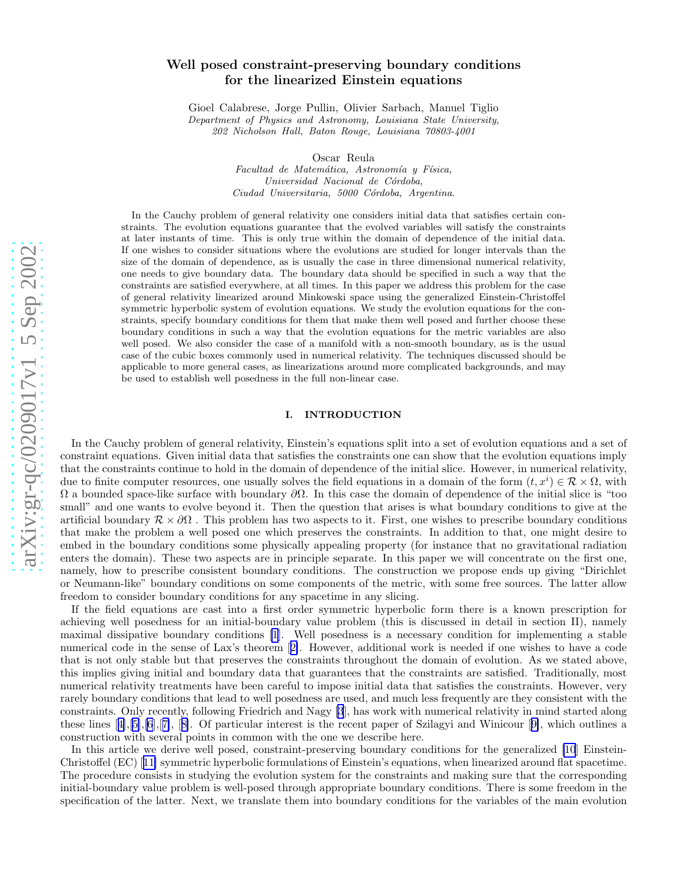# Well posed constraint-preserving boundary conditions for the linearized Einstein equations

Gioel Calabrese, Jorge Pullin, Olivier Sarbach, Manuel Tiglio Department of Physics and Astronomy, Louisiana State University, 202 Nicholson Hall, Baton Rouge, Louisiana 70803-4001

Oscar Reula

Facultad de Matemática, Astronomía y Física, Universidad Nacional de Córdoba, Ciudad Universitaria, 5000 Córdoba, Argentina.

In the Cauchy problem of general relativity one considers initial data that satisfies certain constraints. The evolution equations guarantee that the evolved variables will satisfy the constraints at later instants of time. This is only true within the domain of dependence of the initial data. If one wishes to consider situations where the evolutions are studied for longer intervals than the size of the domain of dependence, as is usually the case in three dimensional numerical relativity, one needs to give boundary data. The boundary data should be specified in such a way that the constraints are satisfied everywhere, at all times. In this paper we address this problem for the case of general relativity linearized around Minkowski space using the generalized Einstein-Christoffel symmetric hyperbolic system of evolution equations. We study the evolution equations for the constraints, specify boundary conditions for them that make them well posed and further choose these boundary conditions in such a way that the evolution equations for the metric variables are also well posed. We also consider the case of a manifold with a non-smooth boundary, as is the usual case of the cubic boxes commonly used in numerical relativity. The techniques discussed should be applicable to more general cases, as linearizations around more complicated backgrounds, and may be used to establish well posedness in the full non-linear case.

## I. INTRODUCTION

In the Cauchy problem of general relativity, Einstein's equations split into a set of evolution equations and a set of constraint equations. Given initial data that satisfies the constraints one can show that the evolution equations imply that the constraints continue to hold in the domain of dependence of the initial slice. However, in numerical relativity, due to finite computer resources, one usually solves the field equations in a domain of the form  $(t, x^i) \in \mathcal{R} \times \Omega$ , with  $\Omega$  a bounded space-like surface with boundary  $\partial\Omega$ . In this case the domain of dependence of the initial slice is "too small" and one wants to evolve beyond it. Then the question that arises is what boundary conditions to give at the artificial boundary  $\mathcal{R} \times \partial \Omega$ . This problem has two aspects to it. First, one wishes to prescribe boundary conditions that make the problem a well posed one which preserves the constraints. In addition to that, one might desire to embed in the boundary conditions some physically appealing property (for instance that no gravitational radiation enters the domain). These two aspects are in principle separate. In this paper we will concentrate on the first one, namely, how to prescribe consistent boundary conditions. The construction we propose ends up giving "Dirichlet or Neumann-like" boundary conditions on some components of the metric, with some free sources. The latter allow freedom to consider boundary conditions for any spacetime in any slicing.

If the field equations are cast into a first order symmetric hyperbolic form there is a known prescription for achieving well posedness for an initial-boundary value problem (this is discussed in detail in section II), namely maximal dissipative boundary conditions [\[1](#page-14-0)]. Well posedness is a necessary condition for implementing a stable numerical code in the sense of Lax's theorem[[2\]](#page-14-0). However, additional work is needed if one wishes to have a code that is not only stable but that preserves the constraints throughout the domain of evolution. As we stated above, this implies giving initial and boundary data that guarantees that the constraints are satisfied. Traditionally, most numerical relativity treatments have been careful to impose initial data that satisfies the constraints. However, very rarely boundary conditions that lead to well posedness are used, and much less frequently are they consistent with the constraints. Only recently, following Friedrich and Nagy [\[3](#page-14-0)], has work with numerical relativity in mind started along these lines[[4\]](#page-14-0),[[5\]](#page-14-0),[\[6](#page-14-0)],[[7\]](#page-14-0),[[8\]](#page-14-0). Of particular interest is the recent paper of Szilagyi and Winicour[[9\]](#page-14-0), which outlines a construction with several points in common with the one we describe here.

In this article we derive well posed, constraint-preserving boundary conditions for the generalized [\[10](#page-14-0)] Einstein-Christoffel (EC)[[11\]](#page-14-0) symmetric hyperbolic formulations of Einstein's equations, when linearized around flat spacetime. The procedure consists in studying the evolution system for the constraints and making sure that the corresponding initial-boundary value problem is well-posed through appropriate boundary conditions. There is some freedom in the specification of the latter. Next, we translate them into boundary conditions for the variables of the main evolution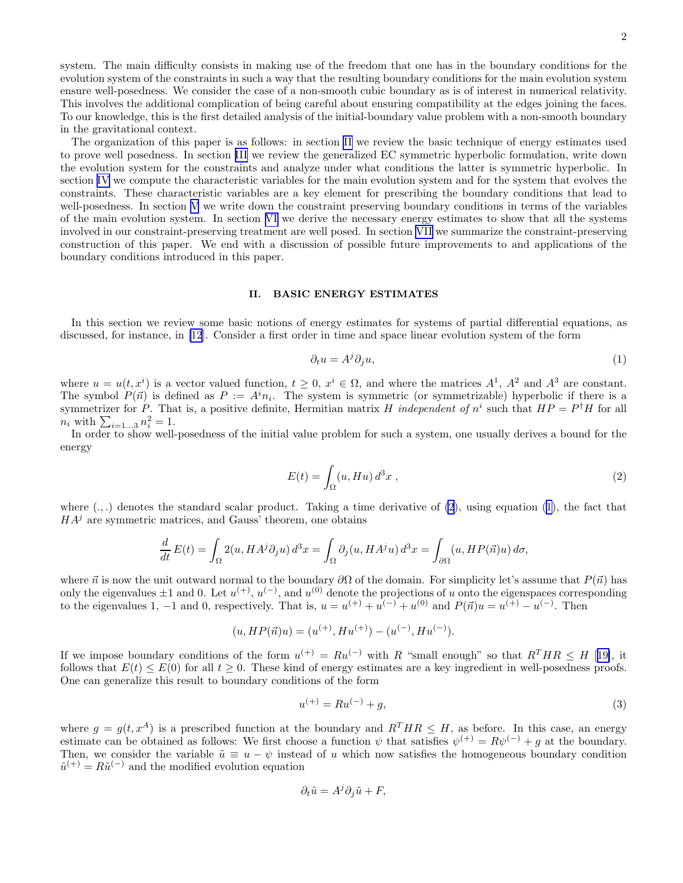<span id="page-2-0"></span>system. The main difficulty consists in making use of the freedom that one has in the boundary conditions for the evolution system of the constraints in such a way that the resulting boundary conditions for the main evolution system ensure well-posedness. We consider the case of a non-smooth cubic boundary as is of interest in numerical relativity. This involves the additional complication of being careful about ensuring compatibility at the edges joining the faces. To our knowledge, this is the first detailed analysis of the initial-boundary value problem with a non-smooth boundary in the gravitational context.

The organization of this paper is as follows: in section II we review the basic technique of energy estimates used to prove well posedness. In section [III](#page-3-0) we review the generalized EC symmetric hyperbolic formulation, write down the evolution system for the constraints and analyze under what conditions the latter is symmetric hyperbolic. In section [IV](#page-5-0) we compute the characteristic variables for the main evolution system and for the system that evolves the constraints. These characteristic variables are a key element for prescribing the boundary conditions that lead to well-posedness. In section [V](#page-6-0) we write down the constraint preserving boundary conditions in terms of the variables of the main evolution system. In section [VI](#page-10-0) we derive the necessary energy estimates to show that all the systems involved in our constraint-preserving treatment are well posed. In section [VII](#page-12-0) we summarize the constraint-preserving construction of this paper. We end with a discussion of possible future improvements to and applications of the boundary conditions introduced in this paper.

## II. BASIC ENERGY ESTIMATES

In this section we review some basic notions of energy estimates for systems of partial differential equations, as discussed, for instance, in [\[12](#page-14-0)]. Consider a first order in time and space linear evolution system of the form

$$
\partial_t u = A^j \partial_j u,\tag{1}
$$

where  $u = u(t, x^i)$  is a vector valued function,  $t \geq 0$ ,  $x^i \in \Omega$ , and where the matrices  $A^1$ ,  $A^2$  and  $A^3$  are constant. The symbol  $P(\vec{n})$  is defined as  $P := A^{i} n_{i}$ . The system is symmetric (or symmetrizable) hyperbolic if there is a symmetrizer for P. That is, a positive definite, Hermitian matrix H independent of  $n^i$  such that  $HP = P^{\dagger}H$  for all  $n_i$  with  $\sum_{i=1...3} n_i^2 = 1$ .

In order to show well-posedness of the initial value problem for such a system, one usually derives a bound for the energy

$$
E(t) = \int_{\Omega} (u, Hu) d^3x , \qquad (2)
$$

where  $(.,.)$  denotes the standard scalar product. Taking a time derivative of  $(2)$ , using equation  $(1)$ , the fact that  $HA<sup>j</sup>$  are symmetric matrices, and Gauss' theorem, one obtains

$$
\frac{d}{dt}E(t) = \int_{\Omega} 2(u, HA^j \partial_j u) d^3x = \int_{\Omega} \partial_j(u, HA^j u) d^3x = \int_{\partial \Omega} (u, HP(\vec{n})u) d\sigma,
$$

where  $\vec{n}$  is now the unit outward normal to the boundary  $\partial\Omega$  of the domain. For simplicity let's assume that  $P(\vec{n})$  has only the eigenvalues  $\pm 1$  and 0. Let  $u^{(+)}$ ,  $u^{(-)}$ , and  $u^{(0)}$  denote the projections of u onto the eigenspaces corresponding to the eigenvalues 1, -1 and 0, respectively. That is,  $u = u^{(+)} + u^{(-)} + u^{(0)}$  and  $P(\vec{n})u = u^{(+)} - u^{(-)}$ . Then

$$
(u, HP(\vec{n})u) = (u^{(+)},Hu^{(+)}) - (u^{(-)},Hu^{(-)}).
$$

If we impose boundary conditions of the form  $u^{(+)} = Ru^{(-)}$  with R "small enough" so that  $R^T H R \leq H$  [[19\]](#page-15-0), it follows that  $E(t) \leq E(0)$  for all  $t \geq 0$ . These kind of energy estimates are a key ingredient in well-posedness proofs. One can generalize this result to boundary conditions of the form

$$
u^{(+)} = Ru^{(-)} + g,\tag{3}
$$

where  $g = g(t, x^A)$  is a prescribed function at the boundary and  $R^T H R \leq H$ , as before. In this case, an energy estimate can be obtained as follows: We first choose a function  $\psi$  that satisfies  $\psi^{(+)} = R\psi^{(-)} + g$  at the boundary. Then, we consider the variable  $\tilde{u} \equiv u - \psi$  instead of u which now satisfies the homogeneous boundary condition  $\tilde{u}^{(+)} = R\tilde{u}^{(-)}$  and the modified evolution equation

$$
\partial_t \tilde{u} = A^j \partial_j \tilde{u} + F,
$$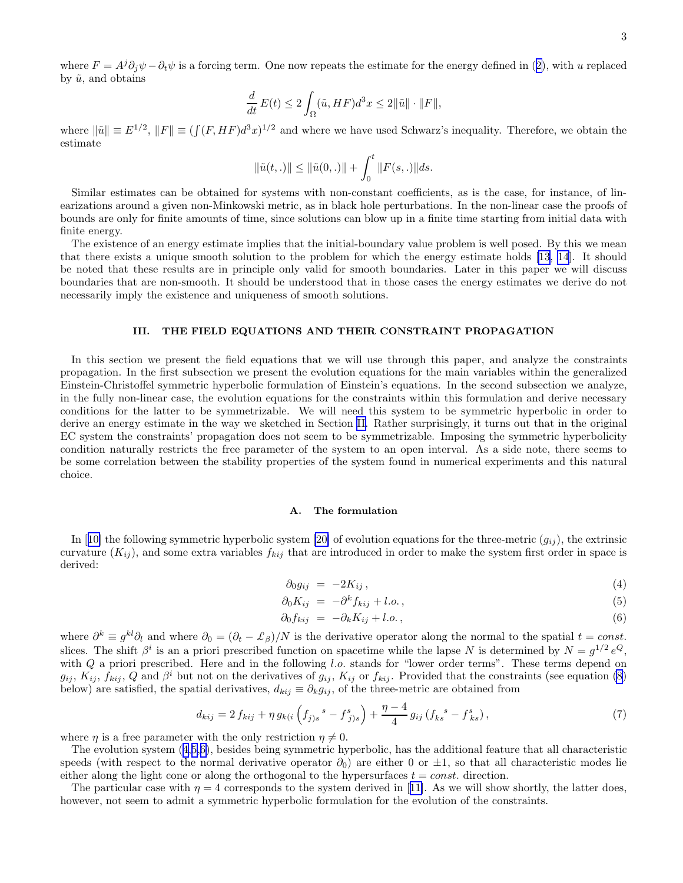<span id="page-3-0"></span>where $F = A^j \partial_j \psi - \partial_t \psi$  is a forcing term. One now repeats the estimate for the energy defined in ([2\)](#page-2-0), with u replaced by  $\tilde{u}$ , and obtains

$$
\frac{d}{dt}\, E(t) \leq 2\int_{\Omega} (\tilde u, HF)d^3x \leq 2\|\tilde u\|\cdot \|F\|,
$$

where  $\|\tilde{u}\| \equiv E^{1/2}$ ,  $\|F\| \equiv (\int (F, HF)d^3x)^{1/2}$  and where we have used Schwarz's inequality. Therefore, we obtain the estimate

$$
\|\tilde{u}(t,.)\| \le \|\tilde{u}(0,.)\| + \int_0^t \|F(s,.)\| ds.
$$

Similar estimates can be obtained for systems with non-constant coefficients, as is the case, for instance, of linearizations around a given non-Minkowski metric, as in black hole perturbations. In the non-linear case the proofs of bounds are only for finite amounts of time, since solutions can blow up in a finite time starting from initial data with finite energy.

The existence of an energy estimate implies that the initial-boundary value problem is well posed. By this we mean that there exists a unique smooth solution to the problem for which the energy estimate holds [\[13](#page-14-0), [14](#page-15-0)]. It should be noted that these results are in principle only valid for smooth boundaries. Later in this paper we will discuss boundaries that are non-smooth. It should be understood that in those cases the energy estimates we derive do not necessarily imply the existence and uniqueness of smooth solutions.

## III. THE FIELD EQUATIONS AND THEIR CONSTRAINT PROPAGATION

In this section we present the field equations that we will use through this paper, and analyze the constraints propagation. In the first subsection we present the evolution equations for the main variables within the generalized Einstein-Christoffel symmetric hyperbolic formulation of Einstein's equations. In the second subsection we analyze, in the fully non-linear case, the evolution equations for the constraints within this formulation and derive necessary conditions for the latter to be symmetrizable. We will need this system to be symmetric hyperbolic in order to derive an energy estimate in the way we sketched in Section [II.](#page-2-0) Rather surprisingly, it turns out that in the original EC system the constraints' propagation does not seem to be symmetrizable. Imposing the symmetric hyperbolicity condition naturally restricts the free parameter of the system to an open interval. As a side note, there seems to be some correlation between the stability properties of the system found in numerical experiments and this natural choice.

## A. The formulation

In[[10\]](#page-14-0) the following symmetric hyperbolic system [\[20\]](#page-15-0) of evolution equations for the three-metric  $(g_{ij})$ , the extrinsic curvature  $(K_{ij})$ , and some extra variables  $f_{kij}$  that are introduced in order to make the system first order in space is derived:

$$
\partial_0 g_{ij} = -2K_{ij}, \qquad (4)
$$

$$
\partial_0 K_{ij} = -\partial^k f_{kij} + l.o., \qquad (5)
$$

$$
\partial_0 f_{kij} = -\partial_k K_{ij} + l.o., \qquad (6)
$$

where  $\partial^k \equiv g^{kl}\partial_l$  and where  $\partial_0 = (\partial_t - \pounds_\beta)/N$  is the derivative operator along the normal to the spatial  $t = const$ . slices. The shift  $\beta^i$  is an a priori prescribed function on spacetime while the lapse N is determined by  $N = g^{1/2} e^Q$ , with  $Q$  a priori prescribed. Here and in the following l.o. stands for "lower order terms". These terms depend on  $g_{ij}$ ,  $K_{ij}$ ,  $f_{kij}$ , Q and  $\beta^i$  but not on the derivatives of  $g_{ij}$ ,  $K_{ij}$  or  $f_{kij}$ . Provided that the constraints (see equation [\(8](#page-4-0)) below) are satisfied, the spatial derivatives,  $d_{kij} \equiv \partial_k g_{ij}$ , of the three-metric are obtained from

$$
d_{kij} = 2 f_{kij} + \eta g_{k(i} \left( f_{j)s}^s - f_{j)s}^s \right) + \frac{\eta - 4}{4} g_{ij} \left( f_{ks}^s - f_{ks}^s \right),\tag{7}
$$

where  $\eta$  is a free parameter with the only restriction  $\eta \neq 0$ .

The evolution system (4,5,6), besides being symmetric hyperbolic, has the additional feature that all characteristic speeds (with respect to the normal derivative operator  $\partial_0$ ) are either 0 or  $\pm 1$ , so that all characteristic modes lie either along the light cone or along the orthogonal to the hypersurfaces  $t = const.$  direction.

Theparticular case with  $\eta = 4$  corresponds to the system derived in [[11\]](#page-14-0). As we will show shortly, the latter does, however, not seem to admit a symmetric hyperbolic formulation for the evolution of the constraints.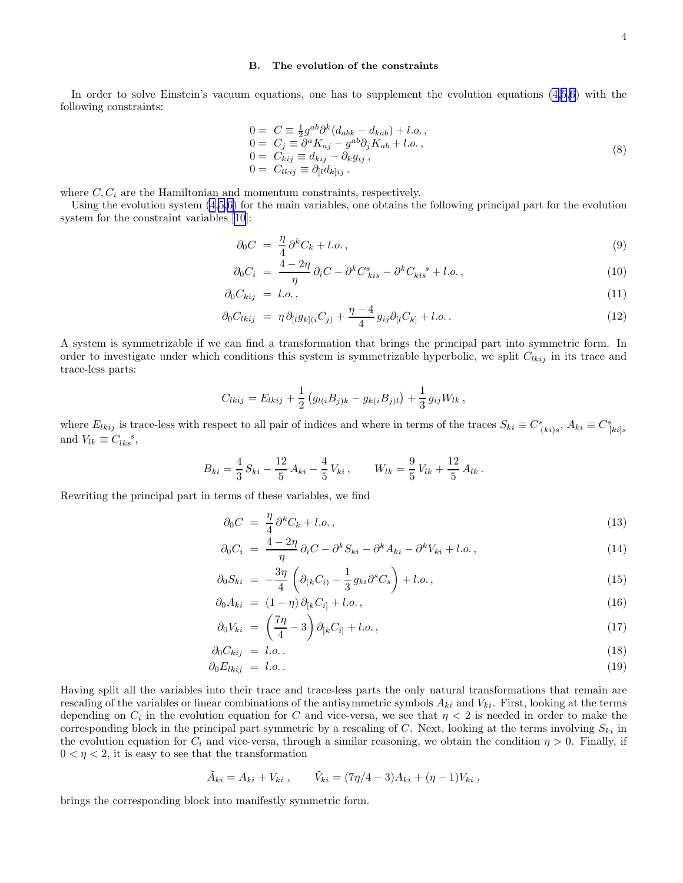# B. The evolution of the constraints

<span id="page-4-0"></span>In order to solve Einstein's vacuum equations, one has to supplement the evolution equations [\(4,5,6](#page-3-0)) with the following constraints:

$$
0 = C \equiv \frac{1}{2} g^{ab} \partial^k (d_{abk} - d_{kab}) + l.o.,
$$
  
\n
$$
0 = C_j \equiv \partial^a K_{aj} - g^{ab} \partial_j K_{ab} + l.o.,
$$
  
\n
$$
0 = C_{kij} \equiv d_{kij} - \partial_k g_{ij},
$$
  
\n
$$
0 = C_{lkij} \equiv \partial_{[l} d_{k]ij}.
$$
\n(8)

where  $C, C_i$  are the Hamiltonian and momentum constraints, respectively.

Using the evolution system [\(4,5](#page-3-0),[6\)](#page-3-0) for the main variables, one obtains the following principal part for the evolution system for the constraint variables [\[10](#page-14-0)]:

$$
\partial_0 C = \frac{\eta}{4} \partial^k C_k + l.o., \qquad (9)
$$

$$
\partial_0 C_i = \frac{4 - 2\eta}{\eta} \partial_i C - \partial^k C_{kis}^s - \partial^k C_{kis}^s + l.o. \,, \tag{10}
$$

$$
\partial_0 C_{kij} = l.o., \tag{11}
$$

$$
\partial_0 C_{lkij} = \eta \, \partial_{[l} g_{k](i} C_{j)} + \frac{\eta - 4}{4} g_{ij} \partial_{[l} C_{k]} + l.o. \tag{12}
$$

A system is symmetrizable if we can find a transformation that brings the principal part into symmetric form. In order to investigate under which conditions this system is symmetrizable hyperbolic, we split  $C_{lkij}$  in its trace and trace-less parts:

$$
C_{lkij} = E_{lkij} + \frac{1}{2} \left( g_{l(i} B_{j)k} - g_{k(i} B_{j)l} \right) + \frac{1}{3} g_{ij} W_{lk} ,
$$

where  $E_{lkij}$  is trace-less with respect to all pair of indices and where in terms of the traces  $S_{ki} \equiv C^s_{(ki)s}$ ,  $A_{ki} \equiv C^s_{[ki]s}$ and  $V_{lk} \equiv C_{lks}^{s}$ ,

$$
B_{ki} = \frac{4}{3} S_{ki} - \frac{12}{5} A_{ki} - \frac{4}{5} V_{ki} , \qquad W_{lk} = \frac{9}{5} V_{lk} + \frac{12}{5} A_{lk} .
$$

Rewriting the principal part in terms of these variables, we find

$$
\partial_0 C = \frac{\eta}{4} \partial^k C_k + l.o., \qquad (13)
$$

$$
\partial_0 C_i = \frac{4 - 2\eta}{\eta} \partial_i C - \partial^k S_{ki} - \partial^k A_{ki} - \partial^k V_{ki} + l.o., \qquad (14)
$$

$$
\partial_0 S_{ki} = -\frac{3\eta}{4} \left( \partial_{(k} C_{i)} - \frac{1}{3} g_{ki} \partial^s C_s \right) + l.o., \qquad (15)
$$

$$
\partial_0 A_{ki} = (1 - \eta) \partial_{[k} C_{i]} + l.o., \qquad (16)
$$

$$
\partial_0 V_{ki} = \left(\frac{7\eta}{4} - 3\right) \partial_{[k} C_{i]} + l.o., \qquad (17)
$$

$$
\partial_0 C_{kij} = l.o.. \tag{18}
$$

$$
\partial_0 E_{lkij} = l.o.. \tag{19}
$$

Having split all the variables into their trace and trace-less parts the only natural transformations that remain are rescaling of the variables or linear combinations of the antisymmetric symbols  $A_{ki}$  and  $V_{ki}$ . First, looking at the terms depending on  $C_i$  in the evolution equation for C and vice-versa, we see that  $\eta < 2$  is needed in order to make the corresponding block in the principal part symmetric by a rescaling of C. Next, looking at the terms involving  $S_{ki}$  in the evolution equation for  $C_i$  and vice-versa, through a similar reasoning, we obtain the condition  $\eta > 0$ . Finally, if  $0 < \eta < 2$ , it is easy to see that the transformation

$$
\tilde{A}_{ki} = A_{ki} + V_{ki}
$$
,  $\tilde{V}_{ki} = (7\eta/4 - 3)A_{ki} + (\eta - 1)V_{ki}$ ,

brings the corresponding block into manifestly symmetric form.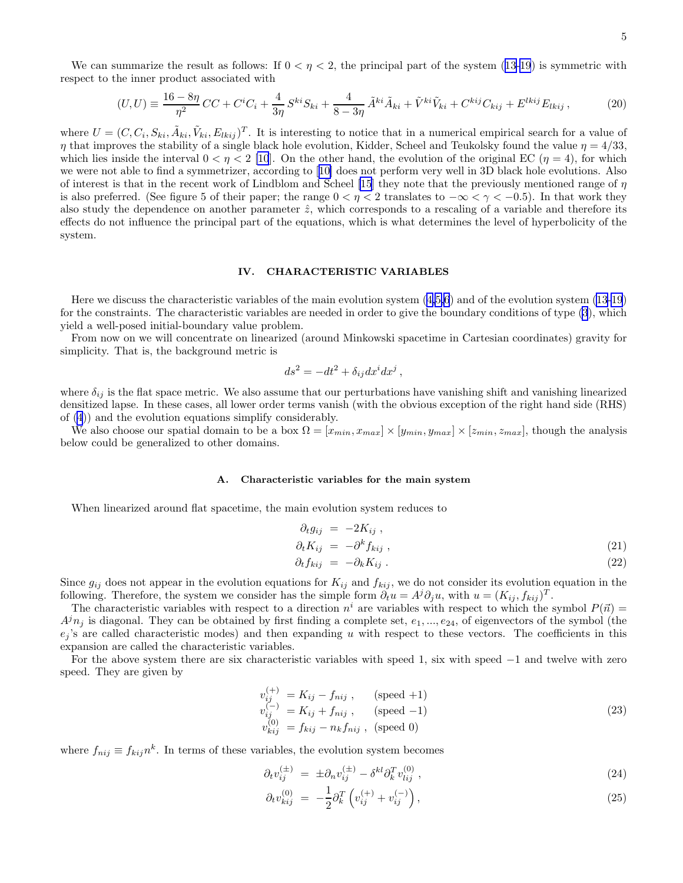<span id="page-5-0"></span>Wecan summarize the result as follows: If  $0 < \eta < 2$ , the principal part of the system ([13-19](#page-4-0)) is symmetric with respect to the inner product associated with

$$
(U, U) \equiv \frac{16 - 8\eta}{\eta^2} \, CC + C^i C_i + \frac{4}{3\eta} \, S^{ki} S_{ki} + \frac{4}{8 - 3\eta} \, \tilde{A}^{ki} \tilde{A}_{ki} + \tilde{V}^{ki} \tilde{V}_{ki} + C^{kij} C_{kij} + E^{lkij} E_{lkij} \,, \tag{20}
$$

where  $U = (C, C_i, S_{ki}, \tilde{A}_{ki}, \tilde{V}_{ki}, E_{lkij})^T$ . It is interesting to notice that in a numerical empirical search for a value of  $\eta$  that improves the stability of a single black hole evolution, Kidder, Scheel and Teukolsky found the value  $\eta = 4/33$ , which lies inside the interval  $0 < \eta < 2$  [\[10](#page-14-0)]. On the other hand, the evolution of the original EC ( $\eta = 4$ ), for which we were not able to find a symmetrizer, according to[[10\]](#page-14-0) does not perform very well in 3D black hole evolutions. Also of interest is that in the recent work of Lindblom and Scheel [\[15](#page-15-0)] they note that the previously mentioned range of  $\eta$ is also preferred. (See figure 5 of their paper; the range  $0 < \eta < 2$  translates to  $-\infty < \gamma < -0.5$ ). In that work they also study the dependence on another parameter  $\hat{z}$ , which corresponds to a rescaling of a variable and therefore its effects do not influence the principal part of the equations, which is what determines the level of hyperbolicity of the system.

## IV. CHARACTERISTIC VARIABLES

Here we discuss the characteristic variables of the main evolution system([4,5,6](#page-3-0)) and of the evolution system([13-19](#page-4-0)) for the constraints. The characteristic variables are needed in order to give the boundary conditions of type [\(3](#page-2-0)), which yield a well-posed initial-boundary value problem.

From now on we will concentrate on linearized (around Minkowski spacetime in Cartesian coordinates) gravity for simplicity. That is, the background metric is

$$
ds^2 = -dt^2 + \delta_{ij} dx^i dx^j,
$$

where  $\delta_{ij}$  is the flat space metric. We also assume that our perturbations have vanishing shift and vanishing linearized densitized lapse. In these cases, all lower order terms vanish (with the obvious exception of the right hand side (RHS) of [\(4](#page-3-0))) and the evolution equations simplify considerably.

We also choose our spatial domain to be a box  $\Omega = [x_{min}, x_{max}] \times [y_{min}, y_{max}] \times [z_{min}, z_{max}]$ , though the analysis below could be generalized to other domains.

#### A. Characteristic variables for the main system

When linearized around flat spacetime, the main evolution system reduces to

$$
\partial_t g_{ij} = -2K_{ij} ,
$$

$$
\partial_t K_{ij} = -\partial^k f_{kij} \,, \tag{21}
$$

$$
\partial_t f_{kij} = -\partial_k K_{ij} \,. \tag{22}
$$

Since  $g_{ij}$  does not appear in the evolution equations for  $K_{ij}$  and  $f_{kij}$ , we do not consider its evolution equation in the following. Therefore, the system we consider has the simple form  $\partial_t u = A^j \partial_j u$ , with  $u = (K_{ij}, f_{kij})^T$ .

The characteristic variables with respect to a direction  $n^i$  are variables with respect to which the symbol  $P(\vec{n}) =$  $A^{j}n_{j}$  is diagonal. They can be obtained by first finding a complete set,  $e_{1},...,e_{24}$ , of eigenvectors of the symbol (the  $e_j$ 's are called characteristic modes) and then expanding u with respect to these vectors. The coefficients in this expansion are called the characteristic variables.

For the above system there are six characteristic variables with speed 1, six with speed −1 and twelve with zero speed. They are given by

$$
v_{ij}^{(+)} = K_{ij} - f_{nij} , \qquad \text{(speed +1)}\n v_{ij}^{(-)} = K_{ij} + f_{nij} , \qquad \text{(speed -1)}\n v_{kij}^{(0)} = f_{kij} - n_k f_{nij} , \text{ (speed 0)}
$$
\n(23)

where  $f_{nij} \equiv f_{kij} n^k$ . In terms of these variables, the evolution system becomes

$$
\partial_t v_{ij}^{(\pm)} = \pm \partial_n v_{ij}^{(\pm)} - \delta^{kl} \partial_k^T v_{lij}^{(0)} , \qquad (24)
$$

$$
\partial_t v_{kij}^{(0)} = -\frac{1}{2} \partial_k^T \left( v_{ij}^{(+)} + v_{ij}^{(-)} \right), \tag{25}
$$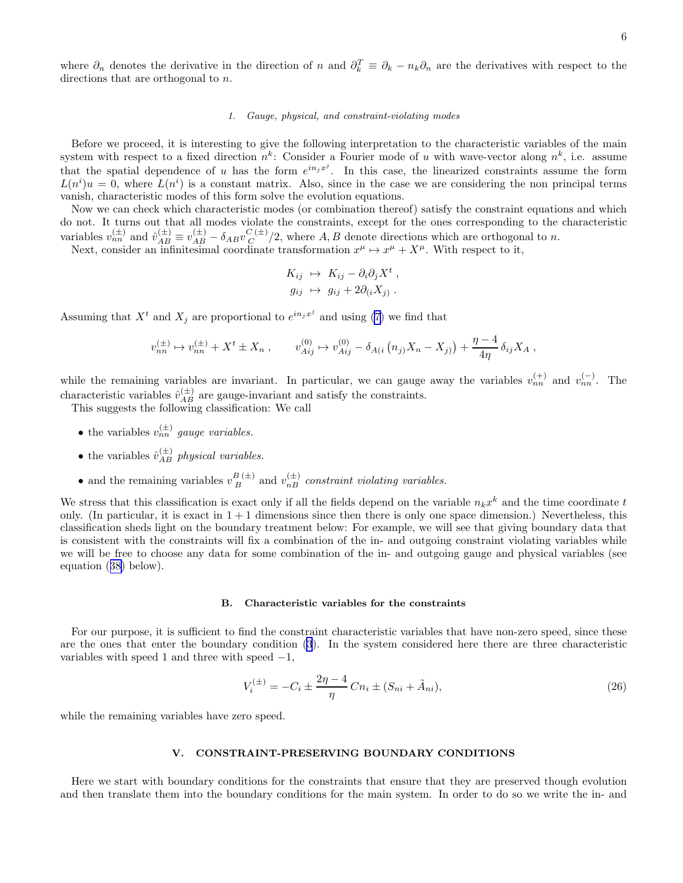<span id="page-6-0"></span>where  $\partial_n$  denotes the derivative in the direction of n and  $\partial_k^T = \partial_k - n_k \partial_n$  are the derivatives with respect to the directions that are orthogonal to n.

# 1. Gauge, physical, and constraint-violating modes

Before we proceed, it is interesting to give the following interpretation to the characteristic variables of the main system with respect to a fixed direction  $n^k$ : Consider a Fourier mode of u with wave-vector along  $n^k$ , i.e. assume that the spatial dependence of u has the form  $e^{in_jx^j}$ . In this case, the linearized constraints assume the form  $L(n^i)u = 0$ , where  $L(n^i)$  is a constant matrix. Also, since in the case we are considering the non principal terms vanish, characteristic modes of this form solve the evolution equations.

Now we can check which characteristic modes (or combination thereof) satisfy the constraint equations and which do not. It turns out that all modes violate the constraints, except for the ones corresponding to the characteristic variables  $v_{nn}^{(\pm)}$  and  $\hat{v}_{AB}^{(\pm)} \equiv v_{AB}^{(\pm)} - \delta_{AB}v_{C}^{C(\pm)}$  $\mathcal{L}_C^{(\pm)}/2$ , where A, B denote directions which are orthogonal to n.

Next, consider an infinitesimal coordinate transformation  $x^{\mu} \mapsto x^{\mu} + X^{\mu}$ . With respect to it,

$$
K_{ij} \mapsto K_{ij} - \partial_i \partial_j X^t ,
$$
  
\n
$$
g_{ij} \mapsto g_{ij} + 2\partial_{(i}X_{j)} .
$$

Assuming that  $X^t$  and  $X_j$  are proportional to  $e^{in_jx^j}$  and using [\(7](#page-3-0)) we find that

$$
v_{nn}^{(\pm)} \mapsto v_{nn}^{(\pm)} + X^t \pm X_n , \qquad v_{Aij}^{(0)} \mapsto v_{Aij}^{(0)} - \delta_{A(i)} (n_{j)} X_n - X_{j)} + \frac{\eta - 4}{4\eta} \delta_{ij} X_A ,
$$

while the remaining variables are invariant. In particular, we can gauge away the variables  $v_{nn}^{(+)}$  and  $v_{nn}^{(-)}$ . The characteristic variables  $\hat{v}_{AB}^{(\pm)}$  are gauge-invariant and satisfy the constraints.

This suggests the following classification: We call

- the variables  $v_{nn}^{(\pm)}$  gauge variables.
- the variables  $\hat{v}_{AB}^{(\pm)}$  physical variables.
- and the remaining variables  $v_B^{B(\pm)}$  and  $v_{nB}^{(\pm)}$  constraint violating variables.

We stress that this classification is exact only if all the fields depend on the variable  $n_k x^k$  and the time coordinate t only. (In particular, it is exact in  $1 + 1$  dimensions since then there is only one space dimension.) Nevertheless, this classification sheds light on the boundary treatment below: For example, we will see that giving boundary data that is consistent with the constraints will fix a combination of the in- and outgoing constraint violating variables while we will be free to choose any data for some combination of the in- and outgoing gauge and physical variables (see equation([38\)](#page-8-0) below).

## B. Characteristic variables for the constraints

For our purpose, it is sufficient to find the constraint characteristic variables that have non-zero speed, since these are the ones that enter the boundary condition [\(3](#page-2-0)). In the system considered here there are three characteristic variables with speed 1 and three with speed  $-1$ ,

$$
V_i^{(\pm)} = -C_i \pm \frac{2\eta - 4}{\eta} C n_i \pm (S_{ni} + \tilde{A}_{ni}),
$$
\n(26)

while the remaining variables have zero speed.

## V. CONSTRAINT-PRESERVING BOUNDARY CONDITIONS

Here we start with boundary conditions for the constraints that ensure that they are preserved though evolution and then translate them into the boundary conditions for the main system. In order to do so we write the in- and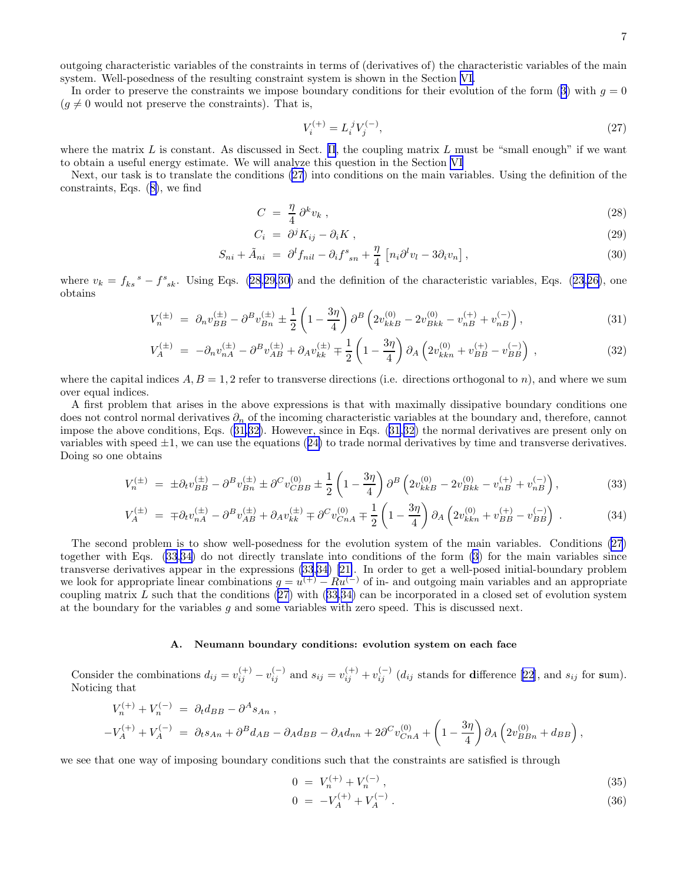<span id="page-7-0"></span>outgoing characteristic variables of the constraints in terms of (derivatives of) the characteristic variables of the main system. Well-posedness of the resulting constraint system is shown in the Section [VI.](#page-10-0)

Inorder to preserve the constraints we impose boundary conditions for their evolution of the form ([3\)](#page-2-0) with  $g = 0$  $(g \neq 0$  would not preserve the constraints). That is,

$$
V_i^{(+)} = L_i^{\ j} V_j^{(-)},\tag{27}
$$

where the matrix L is constant. As discussed in Sect. [II](#page-2-0), the coupling matrix L must be "small enough" if we want to obtain a useful energy estimate. We will analyze this question in the Section [VI](#page-10-0)

Next, our task is to translate the conditions (27) into conditions on the main variables. Using the definition of the constraints, Eqs.([8\)](#page-4-0), we find

$$
C = \frac{\eta}{4} \partial^k v_k , \qquad (28)
$$

$$
C_i = \partial^j K_{ij} - \partial_i K \,, \tag{29}
$$

$$
S_{ni} + \tilde{A}_{ni} = \partial^l f_{nil} - \partial_i f^s_{sn} + \frac{\eta}{4} \left[ n_i \partial^l v_l - 3 \partial_i v_n \right], \tag{30}
$$

where $v_k = f_{ks}^s - f_{sk}^s$ . Using Eqs. (28,29,30) and the definition of the characteristic variables, Eqs. ([23,](#page-5-0)[26\)](#page-6-0), one obtains

$$
V_n^{(\pm)} = \partial_n v_{BB}^{(\pm)} - \partial^B v_{Bn}^{(\pm)} \pm \frac{1}{2} \left( 1 - \frac{3\eta}{4} \right) \partial^B \left( 2v_{kkB}^{(0)} - 2v_{Bkk}^{(0)} - v_{nB}^{(+)} + v_{nB}^{(-)} \right), \tag{31}
$$

$$
V_A^{(\pm)} = -\partial_n v_{nA}^{(\pm)} - \partial^B v_{AB}^{(\pm)} + \partial_A v_{kk}^{(\pm)} \mp \frac{1}{2} \left( 1 - \frac{3\eta}{4} \right) \partial_A \left( 2v_{kkn}^{(0)} + v_{BB}^{(+)} - v_{BB}^{(-)} \right) , \tag{32}
$$

where the capital indices  $A, B = 1, 2$  refer to transverse directions (i.e. directions orthogonal to n), and where we sum over equal indices.

A first problem that arises in the above expressions is that with maximally dissipative boundary conditions one does not control normal derivatives  $\partial_n$  of the incoming characteristic variables at the boundary and, therefore, cannot impose the above conditions, Eqs. (31,32). However, since in Eqs. (31,32) the normal derivatives are present only on variableswith speed  $\pm 1$ , we can use the equations ([24\)](#page-5-0) to trade normal derivatives by time and transverse derivatives. Doing so one obtains

$$
V_n^{(\pm)} = \pm \partial_t v_{BB}^{(\pm)} - \partial^B v_{Bn}^{(\pm)} \pm \partial^C v_{CBB}^{(0)} \pm \frac{1}{2} \left( 1 - \frac{3\eta}{4} \right) \partial^B \left( 2v_{kkB}^{(0)} - 2v_{Bkk}^{(0)} - v_{nB}^{(+)} + v_{nB}^{(-)} \right), \tag{33}
$$

$$
V_A^{(\pm)} = \mp \partial_t v_{nA}^{(\pm)} - \partial^B v_{AB}^{(\pm)} + \partial_A v_{kk}^{(\pm)} \mp \partial^C v_{CnA}^{(0)} \mp \frac{1}{2} \left( 1 - \frac{3\eta}{4} \right) \partial_A \left( 2v_{kkn}^{(0)} + v_{BB}^{(+)} - v_{BB}^{(-)} \right) \,. \tag{34}
$$

The second problem is to show well-posedness for the evolution system of the main variables. Conditions (27) together with Eqs. (33,34) do not directly translate into conditions of the form [\(3](#page-2-0)) for the main variables since transverse derivatives appear in the expressions (33,34) [\[21\]](#page-15-0). In order to get a well-posed initial-boundary problem we look for appropriate linear combinations  $g = u^{(+)} - Ru^{(-)}$  of in- and outgoing main variables and an appropriate coupling matrix  $L$  such that the conditions (27) with (33,34) can be incorporated in a closed set of evolution system at the boundary for the variables  $g$  and some variables with zero speed. This is discussed next.

## A. Neumann boundary conditions: evolution system on each face

Considerthe combinations  $d_{ij} = v_{ij}^{(+)} - v_{ij}^{(-)}$  and  $s_{ij} = v_{ij}^{(+)} + v_{ij}^{(-)}$  ( $d_{ij}$  stands for difference [[22\]](#page-15-0), and  $s_{ij}$  for sum). Noticing that

$$
V_n^{(+)} + V_n^{(-)} = \partial_t d_{BB} - \partial^A s_{An} ,
$$
  
-
$$
V_A^{(+)} + V_A^{(-)} = \partial_t s_{An} + \partial^B d_{AB} - \partial_A d_{BB} - \partial_A d_{nn} + 2\partial^C v_{CnA}^{(0)} + \left(1 - \frac{3\eta}{4}\right) \partial_A \left(2v_{BBn}^{(0)} + d_{BB}\right),
$$

we see that one way of imposing boundary conditions such that the constraints are satisfied is through

$$
0 = V_n^{(+)} + V_n^{(-)}, \tag{35}
$$

$$
0 = -V_A^{(+)} + V_A^{(-)} \,. \tag{36}
$$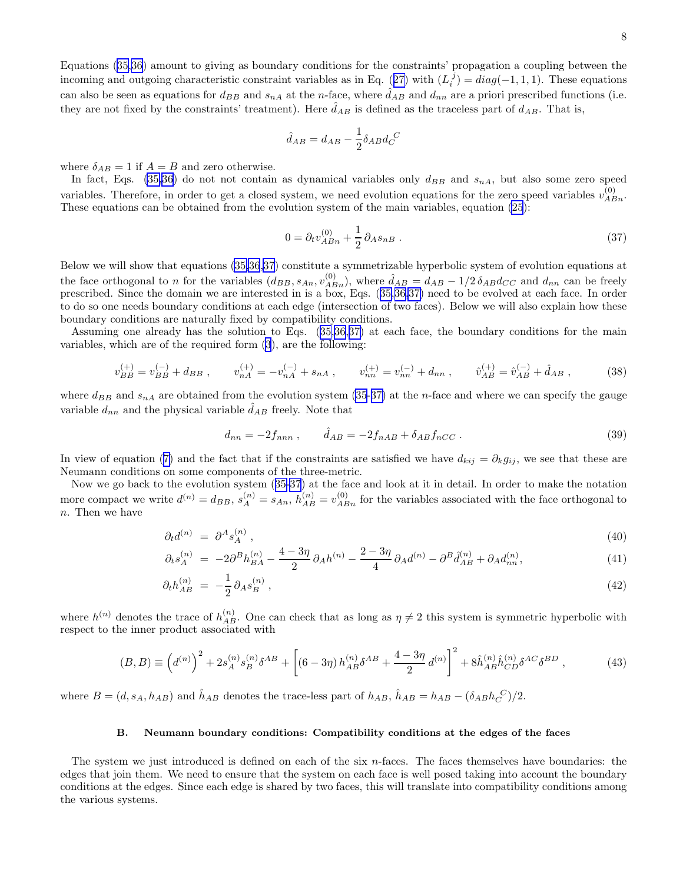<span id="page-8-0"></span>Equations [\(35](#page-7-0),[36\)](#page-7-0) amount to giving as boundary conditions for the constraints' propagation a coupling between the incomingand outgoing characteristic constraint variables as in Eq. ([27\)](#page-7-0) with  $(L_i^j) = diag(-1, 1, 1)$ . These equations can also be seen as equations for  $d_{BB}$  and  $s_{nA}$  at the n-face, where  $\hat{d}_{AB}$  and  $d_{nn}$  are a priori prescribed functions (i.e. they are not fixed by the constraints' treatment). Here  $\hat{d}_{AB}$  is defined as the traceless part of  $d_{AB}$ . That is,

$$
\hat{d}_{AB} = d_{AB} - \frac{1}{2} \delta_{AB} d_C^C
$$

where  $\delta_{AB} = 1$  if  $A = B$  and zero otherwise.

In fact, Eqs. [\(35,36](#page-7-0)) do not not contain as dynamical variables only  $d_{BB}$  and  $s_{nA}$ , but also some zero speed variables. Therefore, in order to get a closed system, we need evolution equations for the zero speed variables  $v_{ABn}^{(0)}$ . These equations can be obtained from the evolution system of the main variables, equation [\(25](#page-5-0)):

$$
0 = \partial_t v_{ABn}^{(0)} + \frac{1}{2} \partial_A s_{nB} . \tag{37}
$$

Below we will show that equations [\(35,36](#page-7-0),37) constitute a symmetrizable hyperbolic system of evolution equations at the face orthogonal to n for the variables  $(d_{BB}, s_{An}, v_{ABn}^{(0)})$ , where  $\hat{d}_{AB} = d_{AB} - 1/2 \delta_{AB} d_{CC}$  and  $d_{nn}$  can be freely prescribed. Since the domain we are interested in is a box, Eqs.([35,36,](#page-7-0)37) need to be evolved at each face. In order to do so one needs boundary conditions at each edge (intersection of two faces). Below we will also explain how these boundary conditions are naturally fixed by compatibility conditions.

Assuming one already has the solution to Eqs. [\(35](#page-7-0),[36,](#page-7-0)37) at each face, the boundary conditions for the main variables, which are of the required form [\(3](#page-2-0)), are the following:

$$
v_{BB}^{(+)} = v_{BB}^{(-)} + d_{BB} , \qquad v_{nA}^{(+)} = -v_{nA}^{(-)} + s_{nA} , \qquad v_{nn}^{(+)} = v_{nn}^{(-)} + d_{nn} , \qquad \hat{v}_{AB}^{(+)} = \hat{v}_{AB}^{(-)} + \hat{d}_{AB} , \qquad (38)
$$

where  $d_{BB}$  and  $s_{nA}$  are obtained from the evolution system [\(35](#page-7-0)-37) at the n-face and where we can specify the gauge variable  $d_{nn}$  and the physical variable  $\hat{d}_{AB}$  freely. Note that

$$
d_{nn} = -2f_{nnn} , \qquad \hat{d}_{AB} = -2f_{nAB} + \delta_{AB}f_{nCC} . \qquad (39)
$$

Inview of equation ([7\)](#page-3-0) and the fact that if the constraints are satisfied we have  $d_{kij} = \partial_k g_{ij}$ , we see that these are Neumann conditions on some components of the three-metric.

Now we go back to the evolution system([35-](#page-7-0)37) at the face and look at it in detail. In order to make the notation more compact we write  $d^{(n)} = d_{BB}$ ,  $s_A^{(n)} = s_{An}$ ,  $h_{AB}^{(n)} = v_{ABn}^{(0)}$  for the variables associated with the face orthogonal to n. Then we have

$$
\partial_t d^{(n)} = \partial^A s_A^{(n)} \,, \tag{40}
$$

$$
\partial_t s_A^{(n)} = -2\partial^B h_{BA}^{(n)} - \frac{4-3\eta}{2} \partial_A h^{(n)} - \frac{2-3\eta}{4} \partial_A d^{(n)} - \partial^B \hat{d}_{AB}^{(n)} + \partial_A d_{nn}^{(n)},\tag{41}
$$

$$
\partial_t h_{AB}^{(n)} = -\frac{1}{2} \partial_A s_B^{(n)} \,, \tag{42}
$$

where  $h^{(n)}$  denotes the trace of  $h^{(n)}_{AB}$ . One can check that as long as  $\eta \neq 2$  this system is symmetric hyperbolic with respect to the inner product associated with

$$
(B,B) \equiv \left(d^{(n)}\right)^2 + 2s_A^{(n)}s_B^{(n)}\delta^{AB} + \left[ \left(6 - 3\eta\right)h_{AB}^{(n)}\delta^{AB} + \frac{4 - 3\eta}{2}d^{(n)}\right]^2 + 8\hat{h}_{AB}^{(n)}\hat{h}_{CD}^{(n)}\delta^{AC}\delta^{BD} ,\tag{43}
$$

where  $B = (d, s_A, h_{AB})$  and  $\hat{h}_{AB}$  denotes the trace-less part of  $h_{AB}$ ,  $\hat{h}_{AB} = h_{AB} - (\delta_{AB}h_C^C)/2$ .

## B. Neumann boundary conditions: Compatibility conditions at the edges of the faces

The system we just introduced is defined on each of the six n-faces. The faces themselves have boundaries: the edges that join them. We need to ensure that the system on each face is well posed taking into account the boundary conditions at the edges. Since each edge is shared by two faces, this will translate into compatibility conditions among the various systems.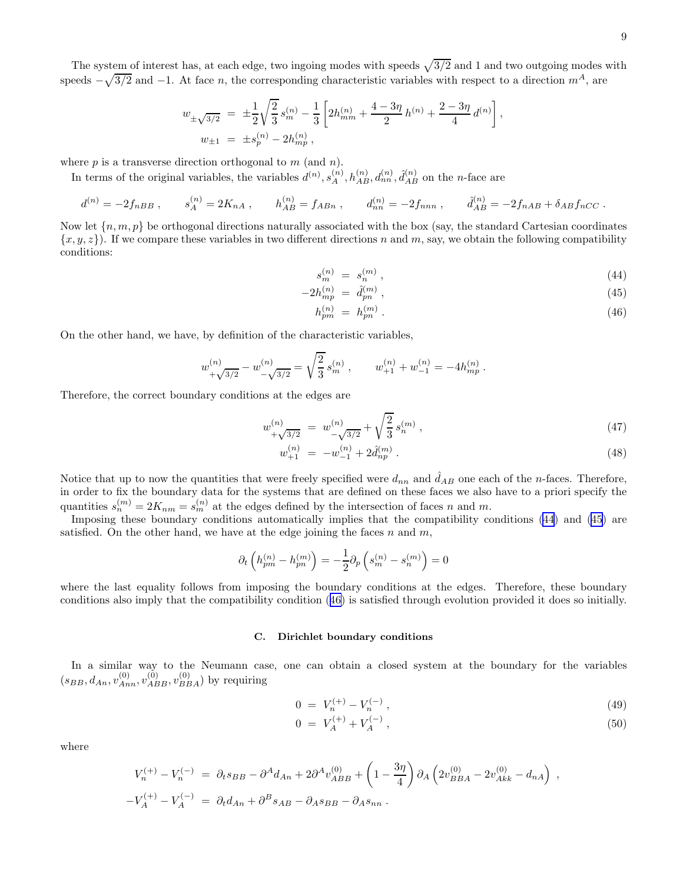<span id="page-9-0"></span>The system of interest has, at each edge, two ingoing modes with speeds  $\sqrt{3/2}$  and 1 and two outgoing modes with speeds  $-\sqrt{3/2}$  and  $-1$ . At face n, the corresponding characteristic variables with respect to a direction  $m<sup>A</sup>$ , are

$$
\begin{array}{rcl} w_{\pm\sqrt{3/2}} & = & \pm\frac{1}{2}\sqrt{\frac{2}{3}}\,s^{(n)}_m-\frac{1}{3}\left[2h^{(n)}_{mm}+\frac{4-3\eta}{2}\,h^{(n)}+\frac{2-3\eta}{4}\,d^{(n)}\right],\\[10pt] w_{\pm 1} & = & \pm s^{(n)}_p-2h^{(n)}_{mp}\;, \end{array}
$$

where  $p$  is a transverse direction orthogonal to  $m$  (and  $n$ ).

In terms of the original variables, the variables  $d^{(n)}$ ,  $s_A^{(n)}$ ,  $h_{AB}^{(n)}$ ,  $d_{nn}^{(n)}$ ,  $d_{AB}^{(n)}$  on the *n*-face are

$$
d^{(n)} = -2f_{nBB} , \t s_A^{(n)} = 2K_{nA} , \t h_{AB}^{(n)} = f_{ABn} , \t d_{nn}^{(n)} = -2f_{nnn} , \t \hat{d}_{AB}^{(n)} = -2f_{nAB} + \delta_{AB}f_{nCC} .
$$

Now let  $\{n, m, p\}$  be orthogonal directions naturally associated with the box (say, the standard Cartesian coordinates  ${x, y, z}$ . If we compare these variables in two different directions n and m, say, we obtain the following compatibility conditions:

$$
s_m^{(n)} = s_n^{(m)}, \t\t(44)
$$

$$
-2h_{mp}^{(n)} = \hat{d}_{pn}^{(m)}\,,\tag{45}
$$

$$
h_{pm}^{(n)} = h_{pn}^{(m)} \,. \tag{46}
$$

On the other hand, we have, by definition of the characteristic variables,

$$
w_{+\sqrt{3/2}}^{(n)} - w_{-\sqrt{3/2}}^{(n)} = \sqrt{\frac{2}{3}} s_m^{(n)} , \qquad w_{+1}^{(n)} + w_{-1}^{(n)} = -4h_{mp}^{(n)} .
$$

Therefore, the correct boundary conditions at the edges are

$$
w_{+\sqrt{3/2}}^{(n)} = w_{-\sqrt{3/2}}^{(n)} + \sqrt{\frac{2}{3}} s_n^{(m)}, \qquad (47)
$$

$$
w_{+1}^{(n)} = -w_{-1}^{(n)} + 2\hat{d}_{np}^{(m)}.
$$
\n(48)

Notice that up to now the quantities that were freely specified were  $d_{nn}$  and  $\tilde{d}_{AB}$  one each of the *n*-faces. Therefore, in order to fix the boundary data for the systems that are defined on these faces we also have to a priori specify the quantities  $s_n^{(m)} = 2K_{nm} = s_m^{(n)}$  at the edges defined by the intersection of faces n and m.

Imposing these boundary conditions automatically implies that the compatibility conditions (44) and (45) are satisfied. On the other hand, we have at the edge joining the faces n and  $m$ ,

$$
\partial_t \left( h_{pm}^{(n)} - h_{pn}^{(m)} \right) = -\frac{1}{2} \partial_p \left( s_m^{(n)} - s_n^{(m)} \right) = 0
$$

where the last equality follows from imposing the boundary conditions at the edges. Therefore, these boundary conditions also imply that the compatibility condition (46) is satisfied through evolution provided it does so initially.

# C. Dirichlet boundary conditions

In a similar way to the Neumann case, one can obtain a closed system at the boundary for the variables  $(s_{BB}, d_{An}, v_{Ann}^{(0)}, v_{ABB}^{(0)}, v_{BBA}^{(0)})$  by requiring

$$
0 = V_n^{(+)} - V_n^{(-)}, \tag{49}
$$

$$
0 = V_A^{(+)} + V_A^{(-)}, \tag{50}
$$

where

$$
V_n^{(+)} - V_n^{(-)} = \partial_t s_{BB} - \partial^A d_{An} + 2\partial^A v_{ABB}^{(0)} + \left(1 - \frac{3\eta}{4}\right) \partial_A \left(2v_{BBA}^{(0)} - 2v_{Akk}^{(0)} - d_{nA}\right) ,
$$
  

$$
-V_A^{(+)} - V_A^{(-)} = \partial_t d_{An} + \partial^B s_{AB} - \partial_A s_{BB} - \partial_A s_{nn} .
$$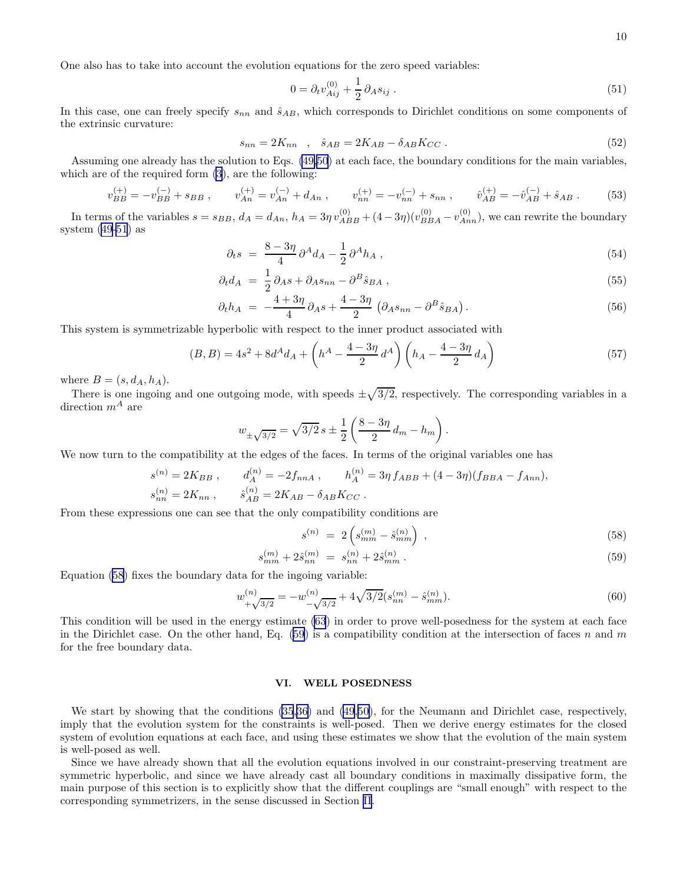$$
0 = \partial_t v_{Aij}^{(0)} + \frac{1}{2} \partial_A s_{ij} . \tag{51}
$$

<span id="page-10-0"></span>In this case, one can freely specify  $s_{nn}$  and  $\hat{s}_{AB}$ , which corresponds to Dirichlet conditions on some components of the extrinsic curvature:

$$
s_{nn} = 2K_{nn} \quad , \quad \hat{s}_{AB} = 2K_{AB} - \delta_{AB}K_{CC} \tag{52}
$$

Assuming one already has the solution to Eqs. [\(49,50](#page-9-0)) at each face, the boundary conditions for the main variables, which are of the required form  $(3)$ , are the following:

$$
v_{BB}^{(+)} = -v_{BB}^{(-)} + s_{BB} , \qquad v_{An}^{(+)} = v_{An}^{(-)} + d_{An} , \qquad v_{nn}^{(+)} = -v_{nn}^{(-)} + s_{nn} , \qquad \hat{v}_{AB}^{(+)} = -\hat{v}_{AB}^{(-)} + \hat{s}_{AB} . \tag{53}
$$

In terms of the variables  $s = s_{BB}$ ,  $d_A = d_{An}$ ,  $h_A = 3\eta v_{ABB}^{(0)} + (4-3\eta)(v_{BBA}^{(0)} - v_{Ann}^{(0)})$ , we can rewrite the boundary system $(49-51)$  $(49-51)$  $(49-51)$  as

$$
\partial_t s = \frac{8 - 3\eta}{4} \partial^A d_A - \frac{1}{2} \partial^A h_A \,, \tag{54}
$$

$$
\partial_t d_A = \frac{1}{2} \partial_A s + \partial_A s_{nn} - \partial^B \hat{s}_{BA} , \qquad (55)
$$

$$
\partial_t h_A = -\frac{4+3\eta}{4} \partial_A s + \frac{4-3\eta}{2} \left( \partial_A s_{nn} - \partial^B \hat{s}_{BA} \right). \tag{56}
$$

This system is symmetrizable hyperbolic with respect to the inner product associated with

$$
(B,B) = 4s^2 + 8d^A d_A + \left(h^A - \frac{4-3\eta}{2}d^A\right)\left(h_A - \frac{4-3\eta}{2}d_A\right) \tag{57}
$$

where  $B = (s, d<sub>A</sub>, h<sub>A</sub>).$ 

There is one ingoing and one outgoing mode, with speeds  $\pm \sqrt{3/2}$ , respectively. The corresponding variables in a direction  $m^A$  are

$$
w_{\pm\sqrt{3/2}} = \sqrt{3/2} s \pm \frac{1}{2} \left( \frac{8 - 3\eta}{2} d_m - h_m \right).
$$

We now turn to the compatibility at the edges of the faces. In terms of the original variables one has

$$
s^{(n)} = 2K_{BB} , \t d_A^{(n)} = -2f_{nnA} , \t h_A^{(n)} = 3\eta f_{ABB} + (4 - 3\eta)(f_{BBA} - f_{Ann}),
$$
  

$$
s_{nn}^{(n)} = 2K_{nn} , \t \hat{s}_{AB}^{(n)} = 2K_{AB} - \delta_{AB}K_{CC} .
$$

From these expressions one can see that the only compatibility conditions are

$$
s^{(n)} = 2\left(s_{mm}^{(m)} - \hat{s}_{mm}^{(n)}\right) \,, \tag{58}
$$

$$
s_{mm}^{(m)} + 2\hat{s}_{nn}^{(m)} = s_{nn}^{(n)} + 2\hat{s}_{mm}^{(n)} \,. \tag{59}
$$

Equation (58) fixes the boundary data for the ingoing variable:

$$
w_{+\sqrt{3/2}}^{(n)} = -w_{-\sqrt{3/2}}^{(n)} + 4\sqrt{3/2}(s_{nn}^{(m)} - \hat{s}_{mm}^{(n)}).
$$
\n(60)

This condition will be used in the energy estimate [\(63](#page-12-0)) in order to prove well-posedness for the system at each face in the Dirichlet case. On the other hand, Eq. (59) is a compatibility condition at the intersection of faces n and m for the free boundary data.

## VI. WELL POSEDNESS

We start by showing that the conditions [\(35,36](#page-7-0)) and [\(49](#page-9-0),[50\)](#page-9-0), for the Neumann and Dirichlet case, respectively, imply that the evolution system for the constraints is well-posed. Then we derive energy estimates for the closed system of evolution equations at each face, and using these estimates we show that the evolution of the main system is well-posed as well.

Since we have already shown that all the evolution equations involved in our constraint-preserving treatment are symmetric hyperbolic, and since we have already cast all boundary conditions in maximally dissipative form, the main purpose of this section is to explicitly show that the different couplings are "small enough" with respect to the corresponding symmetrizers, in the sense discussed in Section [II](#page-2-0).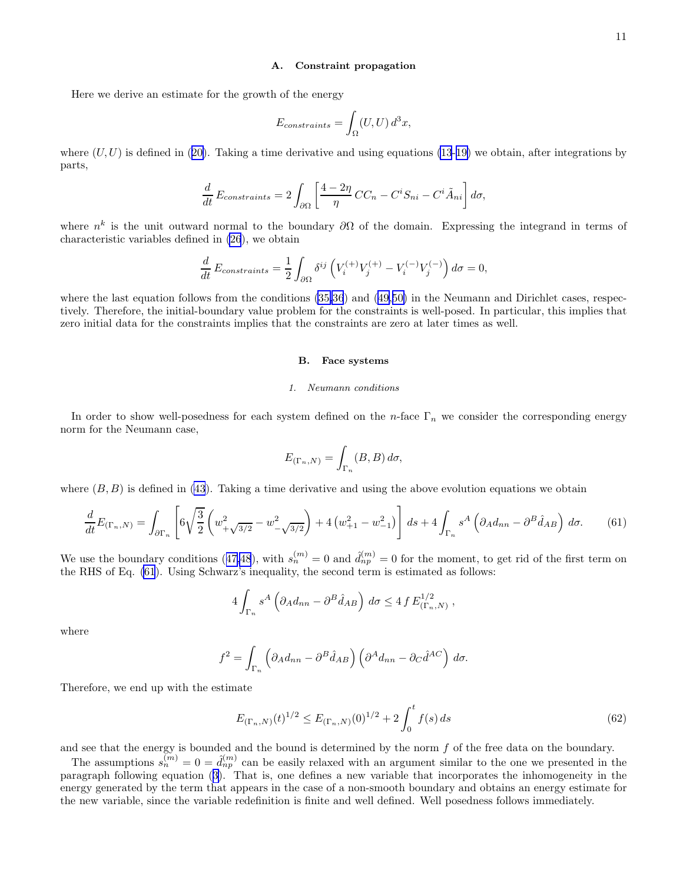## A. Constraint propagation

Here we derive an estimate for the growth of the energy

$$
E_{constraints} = \int_{\Omega} (U, U) d^3x,
$$

where $(U, U)$  is defined in ([20\)](#page-5-0). Taking a time derivative and using equations [\(13](#page-4-0)-[19\)](#page-4-0) we obtain, after integrations by parts,

$$
\frac{d}{dt} E_{constraints} = 2 \int_{\partial \Omega} \left[ \frac{4 - 2\eta}{\eta} CC_n - C^i S_{ni} - C^i \tilde{A}_{ni} \right] d\sigma,
$$

where  $n^k$  is the unit outward normal to the boundary  $\partial\Omega$  of the domain. Expressing the integrand in terms of characteristic variables defined in [\(26](#page-6-0)), we obtain

$$
\frac{d}{dt} E_{constraints} = \frac{1}{2} \int_{\partial \Omega} \delta^{ij} \left( V_i^{(+)} V_j^{(+)} - V_i^{(-)} V_j^{(-)} \right) d\sigma = 0,
$$

wherethe last equation follows from the conditions  $(35,36)$  and  $(49,50)$  $(49,50)$  in the Neumann and Dirichlet cases, respectively. Therefore, the initial-boundary value problem for the constraints is well-posed. In particular, this implies that zero initial data for the constraints implies that the constraints are zero at later times as well.

## B. Face systems

## 1. Neumann conditions

In order to show well-posedness for each system defined on the n-face  $\Gamma_n$  we consider the corresponding energy norm for the Neumann case,

$$
E_{(\Gamma_n,N)} = \int_{\Gamma_n} (B,B) \, d\sigma,
$$

where  $(B, B)$  is defined in [\(43](#page-8-0)). Taking a time derivative and using the above evolution equations we obtain

$$
\frac{d}{dt}E_{(\Gamma_n,N)} = \int_{\partial\Gamma_n} \left[ 6\sqrt{\frac{3}{2}} \left( w_+^2 \sqrt{3/2} - w_-^2 \sqrt{3/2} \right) + 4 \left( w_+^2 - w_-^2 \right) \right] ds + 4 \int_{\Gamma_n} s^A \left( \partial_A d_{nn} - \partial^B \hat{d}_{AB} \right) d\sigma. \tag{61}
$$

Weuse the boundary conditions ([47,48](#page-9-0)), with  $s_n^{(m)} = 0$  and  $\hat{d}_{np}^{(m)} = 0$  for the moment, to get rid of the first term on the RHS of Eq. (61). Using Schwarz's inequality, the second term is estimated as follows:

$$
4\int_{\Gamma_n} s^A \left(\partial_A d_{nn} - \partial^B \hat{d}_{AB}\right) d\sigma \le 4 f E_{(\Gamma_n, N)}^{1/2},
$$

where

$$
f^{2} = \int_{\Gamma_{n}} \left( \partial_{A} d_{nn} - \partial^{B} \hat{d}_{AB} \right) \left( \partial^{A} d_{nn} - \partial_{C} \hat{d}^{AC} \right) d\sigma.
$$

Therefore, we end up with the estimate

$$
E_{(\Gamma_n,N)}(t)^{1/2} \le E_{(\Gamma_n,N)}(0)^{1/2} + 2 \int_0^t f(s) \, ds \tag{62}
$$

and see that the energy is bounded and the bound is determined by the norm  $f$  of the free data on the boundary.

The assumptions  $s_n^{(m)} = 0 = \hat{d}_{np}^{(m)}$  can be easily relaxed with an argument similar to the one we presented in the paragraph following equation([3\)](#page-2-0). That is, one defines a new variable that incorporates the inhomogeneity in the energy generated by the term that appears in the case of a non-smooth boundary and obtains an energy estimate for the new variable, since the variable redefinition is finite and well defined. Well posedness follows immediately.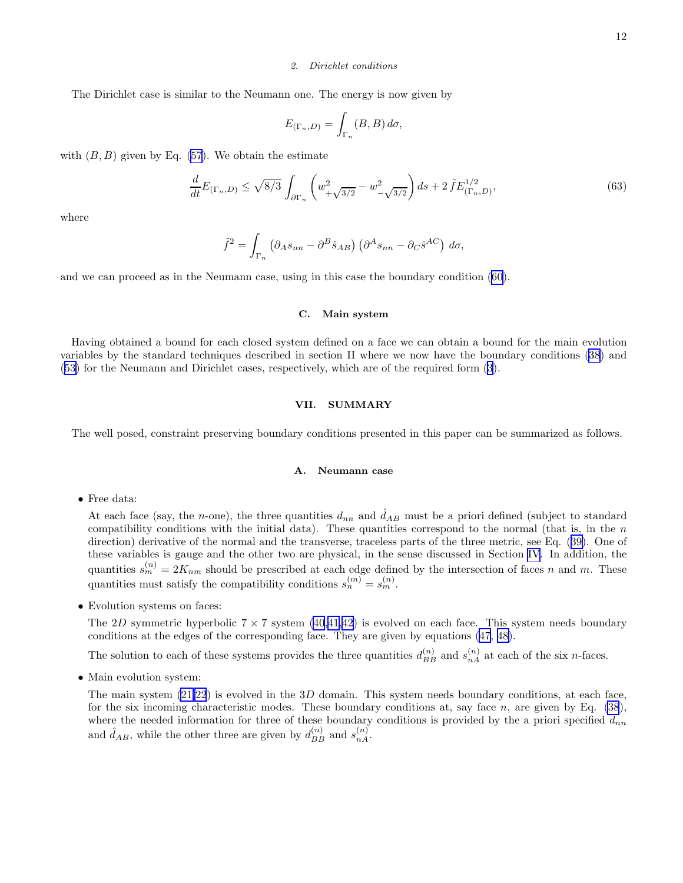## 2. Dirichlet conditions

<span id="page-12-0"></span>The Dirichlet case is similar to the Neumann one. The energy is now given by

$$
E_{(\Gamma_n,D)} = \int_{\Gamma_n} (B,B) \, d\sigma,
$$

with  $(B, B)$  given by Eq.  $(57)$ . We obtain the estimate

$$
\frac{d}{dt}E_{(\Gamma_n,D)} \le \sqrt{8/3} \int_{\partial\Gamma_n} \left( w_+^2 \sqrt{3/2} - w_-^2 \sqrt{3/2} \right) ds + 2 \tilde{f} E_{(\Gamma_n,D)}^{1/2},\tag{63}
$$

where

$$
\tilde{f}^2 = \int_{\Gamma_n} \left( \partial_A s_{nn} - \partial^B \hat{s}_{AB} \right) \left( \partial^A s_{nn} - \partial_C \hat{s}^{AC} \right) d\sigma,
$$

and we can proceed as in the Neumann case, using in this case the boundary condition([60\)](#page-10-0).

#### C. Main system

Having obtained a bound for each closed system defined on a face we can obtain a bound for the main evolution variables by the standard techniques described in section II where we now have the boundary conditions [\(38](#page-8-0)) and ([53\)](#page-10-0) for the Neumann and Dirichlet cases, respectively, which are of the required form [\(3](#page-2-0)).

## VII. SUMMARY

The well posed, constraint preserving boundary conditions presented in this paper can be summarized as follows.

# A. Neumann case

• Free data:

At each face (say, the n-one), the three quantities  $d_{nn}$  and  $\ddot{d}_{AB}$  must be a priori defined (subject to standard compatibility conditions with the initial data). These quantities correspond to the normal (that is, in the  $n$ direction) derivative of the normal and the transverse, traceless parts of the three metric, see Eq.([39\)](#page-8-0). One of these variables is gauge and the other two are physical, in the sense discussed in Section [IV](#page-5-0). In addition, the quantities  $s_m^{(n)} = 2K_{nm}$  should be prescribed at each edge defined by the intersection of faces n and m. These quantities must satisfy the compatibility conditions  $s_n^{(m)} = s_m^{(n)}$ .

• Evolution systems on faces:

The 2D symmetric hyperbolic  $7 \times 7$  system [\(40](#page-8-0),[41](#page-8-0),[42\)](#page-8-0) is evolved on each face. This system needs boundary conditions at the edges of the corresponding face. They are given by equations([47, 48\)](#page-9-0).

The solution to each of these systems provides the three quantities  $d_{BB}^{(n)}$  and  $s_{nA}^{(n)}$  at each of the six *n*-faces.

• Main evolution system:

The main system  $(21,22)$  is evolved in the 3D domain. This system needs boundary conditions, at each face, for the six incoming characteristic modes. These boundary conditions at, say face n, are given by Eq.  $(38)$ , where the needed information for three of these boundary conditions is provided by the a priori specified  $d_{nn}$ and  $\hat{d}_{AB}$ , while the other three are given by  $d_{BB}^{(n)}$  and  $s_{nA}^{(n)}$ .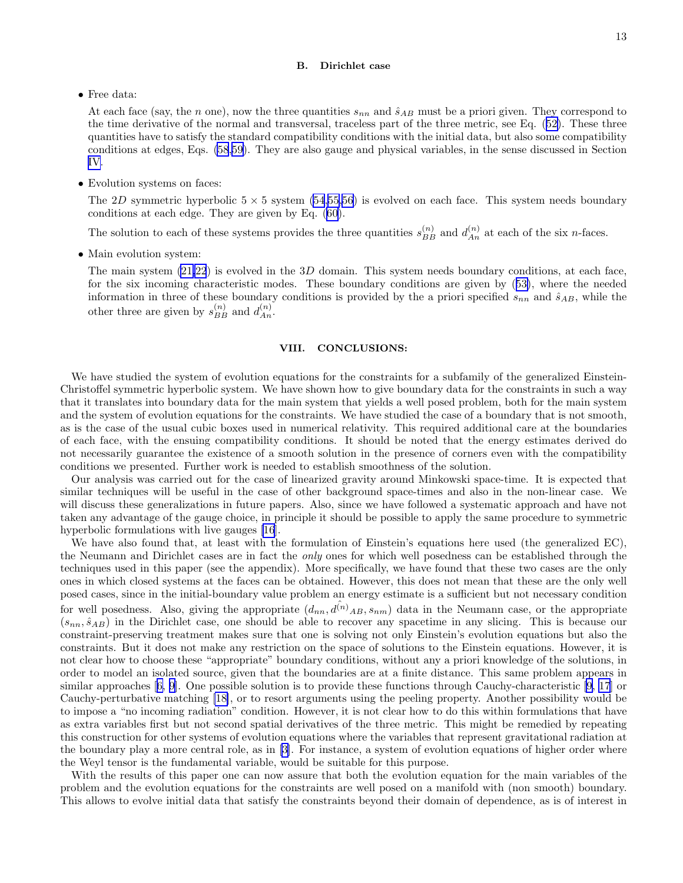## B. Dirichlet case

• Free data:

At each face (say, the n one), now the three quantities  $s_{nn}$  and  $\hat{s}_{AB}$  must be a priori given. They correspond to the time derivative of the normal and transversal, traceless part of the three metric, see Eq.([52\)](#page-10-0). These three quantities have to satisfy the standard compatibility conditions with the initial data, but also some compatibility conditions at edges, Eqs. [\(58](#page-10-0),[59](#page-10-0)). They are also gauge and physical variables, in the sense discussed in Section [IV](#page-5-0).

• Evolution systems on faces:

The 2D symmetric hyperbolic  $5 \times 5$  system [\(54](#page-10-0),[55](#page-10-0),[56\)](#page-10-0) is evolved on each face. This system needs boundary conditions at each edge. They are given by Eq. [\(60](#page-10-0)).

The solution to each of these systems provides the three quantities  $s_{BB}^{(n)}$  and  $d_{An}^{(n)}$  at each of the six *n*-faces.

The main system  $(21.22)$  is evolved in the 3D domain. This system needs boundary conditions, at each face, for the six incoming characteristic modes. These boundary conditions are given by([53\)](#page-10-0), where the needed information in three of these boundary conditions is provided by the a priori specified  $s_{nn}$  and  $\hat{s}_{AB}$ , while the other three are given by  $s_{BB}^{(n)}$  and  $d_{An}^{(n)}$ .

# VIII. CONCLUSIONS:

We have studied the system of evolution equations for the constraints for a subfamily of the generalized Einstein-Christoffel symmetric hyperbolic system. We have shown how to give boundary data for the constraints in such a way that it translates into boundary data for the main system that yields a well posed problem, both for the main system and the system of evolution equations for the constraints. We have studied the case of a boundary that is not smooth, as is the case of the usual cubic boxes used in numerical relativity. This required additional care at the boundaries of each face, with the ensuing compatibility conditions. It should be noted that the energy estimates derived do not necessarily guarantee the existence of a smooth solution in the presence of corners even with the compatibility conditions we presented. Further work is needed to establish smoothness of the solution.

Our analysis was carried out for the case of linearized gravity around Minkowski space-time. It is expected that similar techniques will be useful in the case of other background space-times and also in the non-linear case. We will discuss these generalizations in future papers. Also, since we have followed a systematic approach and have not taken any advantage of the gauge choice, in principle it should be possible to apply the same procedure to symmetric hyperbolic formulations with live gauges [\[16](#page-15-0)].

We have also found that, at least with the formulation of Einstein's equations here used (the generalized EC), the Neumann and Dirichlet cases are in fact the only ones for which well posedness can be established through the techniques used in this paper (see the appendix). More specifically, we have found that these two cases are the only ones in which closed systems at the faces can be obtained. However, this does not mean that these are the only well posed cases, since in the initial-boundary value problem an energy estimate is a sufficient but not necessary condition for well posedness. Also, giving the appropriate  $(d_{nn}, d^{(n)}_{AB}, s_{nm})$  data in the Neumann case, or the appropriate  $(s_{nn}, \hat{s}_{AB})$  in the Dirichlet case, one should be able to recover any spacetime in any slicing. This is because our constraint-preserving treatment makes sure that one is solving not only Einstein's evolution equations but also the constraints. But it does not make any restriction on the space of solutions to the Einstein equations. However, it is not clear how to choose these "appropriate" boundary conditions, without any a priori knowledge of the solutions, in order to model an isolated source, given that the boundaries are at a finite distance. This same problem appears in similar approaches[[6, 9\]](#page-14-0). One possible solution is to provide these functions through Cauchy-characteristic [\[9](#page-14-0), [17](#page-15-0)] or Cauchy-perturbative matching [\[18\]](#page-15-0), or to resort arguments using the peeling property. Another possibility would be to impose a "no incoming radiation" condition. However, it is not clear how to do this within formulations that have as extra variables first but not second spatial derivatives of the three metric. This might be remedied by repeating this construction for other systems of evolution equations where the variables that represent gravitational radiation at the boundary play a more central role, as in [\[3](#page-14-0)]. For instance, a system of evolution equations of higher order where the Weyl tensor is the fundamental variable, would be suitable for this purpose.

With the results of this paper one can now assure that both the evolution equation for the main variables of the problem and the evolution equations for the constraints are well posed on a manifold with (non smooth) boundary. This allows to evolve initial data that satisfy the constraints beyond their domain of dependence, as is of interest in

<sup>•</sup> Main evolution system: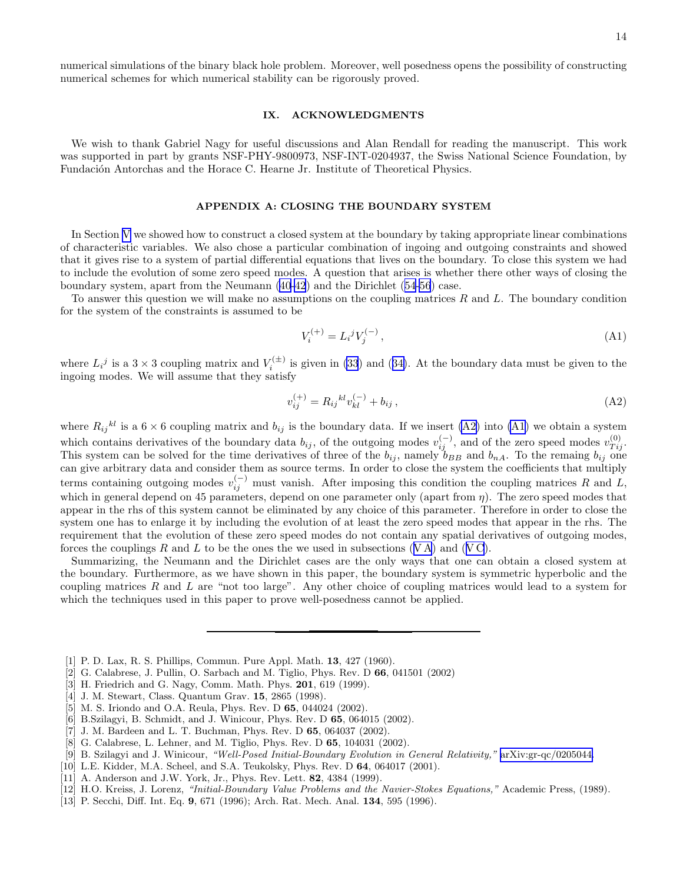<span id="page-14-0"></span>numerical simulations of the binary black hole problem. Moreover, well posedness opens the possibility of constructing numerical schemes for which numerical stability can be rigorously proved.

# IX. ACKNOWLEDGMENTS

We wish to thank Gabriel Nagy for useful discussions and Alan Rendall for reading the manuscript. This work was supported in part by grants NSF-PHY-9800973, NSF-INT-0204937, the Swiss National Science Foundation, by Fundación Antorchas and the Horace C. Hearne Jr. Institute of Theoretical Physics.

## APPENDIX A: CLOSING THE BOUNDARY SYSTEM

In Section [V](#page-6-0) we showed how to construct a closed system at the boundary by taking appropriate linear combinations of characteristic variables. We also chose a particular combination of ingoing and outgoing constraints and showed that it gives rise to a system of partial differential equations that lives on the boundary. To close this system we had to include the evolution of some zero speed modes. A question that arises is whether there other ways of closing the boundary system, apart from the Neumann([40-42](#page-8-0)) and the Dirichlet([54-56](#page-10-0)) case.

To answer this question we will make no assumptions on the coupling matrices  $R$  and  $L$ . The boundary condition for the system of the constraints is assumed to be

$$
V_i^{(+)} = L_i^j V_j^{(-)},\tag{A1}
$$

where $L_i^j$  is a  $3 \times 3$  coupling matrix and  $V_i^{(\pm)}$  is given in [\(33](#page-7-0)) and ([34\)](#page-7-0). At the boundary data must be given to the ingoing modes. We will assume that they satisfy

$$
v_{ij}^{(+)} = R_{ij}{}^{kl}v_{kl}^{(-)} + b_{ij}, \qquad (A2)
$$

where  $R_{ij}{}^{kl}$  is a  $6 \times 6$  coupling matrix and  $b_{ij}$  is the boundary data. If we insert (A2) into (A1) we obtain a system which contains derivatives of the boundary data  $b_{ij}$ , of the outgoing modes  $v_{ij}^{(-)}$ , and of the zero speed modes  $v_{Tij}^{(0)}$ . This system can be solved for the time derivatives of three of the  $b_{ij}$ , namely  $b_{BB}$  and  $b_{nA}$ . To the remaing  $b_{ij}$  one can give arbitrary data and consider them as source terms. In order to close the system the coefficients that multiply terms containing outgoing modes  $v_{ij}^{(-)}$  must vanish. After imposing this condition the coupling matrices R and L, which in general depend on 45 parameters, depend on one parameter only (apart from  $\eta$ ). The zero speed modes that appear in the rhs of this system cannot be eliminated by any choice of this parameter. Therefore in order to close the system one has to enlarge it by including the evolution of at least the zero speed modes that appear in the rhs. The requirement that the evolution of these zero speed modes do not contain any spatial derivatives of outgoing modes, forcesthe couplings R and L to be the ones the we used in subsections  $(V A)$  $(V A)$  $(V A)$  and  $(V C)$  $(V C)$  $(V C)$ .

Summarizing, the Neumann and the Dirichlet cases are the only ways that one can obtain a closed system at the boundary. Furthermore, as we have shown in this paper, the boundary system is symmetric hyperbolic and the coupling matrices  $R$  and  $L$  are "not too large". Any other choice of coupling matrices would lead to a system for which the techniques used in this paper to prove well-posedness cannot be applied.

- [1] P. D. Lax, R. S. Phillips, Commun. Pure Appl. Math. 13, 427 (1960).
- [2] G. Calabrese, J. Pullin, O. Sarbach and M. Tiglio, Phys. Rev. D 66, 041501 (2002)
- [3] H. Friedrich and G. Nagy, Comm. Math. Phys. 201, 619 (1999).
- [4] J. M. Stewart, Class. Quantum Grav. 15, 2865 (1998).
- [5] M. S. Iriondo and O.A. Reula, Phys. Rev. D 65, 044024 (2002).
- [6] B.Szilagyi, B. Schmidt, and J. Winicour, Phys. Rev. D 65, 064015 (2002).
- [7] J. M. Bardeen and L. T. Buchman, Phys. Rev. D 65, 064037 (2002).
- [8] G. Calabrese, L. Lehner, and M. Tiglio, Phys. Rev. D 65, 104031 (2002).
- [9] B. Szilagyi and J. Winicour, "Well-Posed Initial-Boundary Evolution in General Relativity," [arXiv:gr-qc/0205044.](http://arxiv.org/abs/gr-qc/0205044)
- [10] L.E. Kidder, M.A. Scheel, and S.A. Teukolsky, Phys. Rev. D 64, 064017 (2001).
- [11] A. Anderson and J.W. York, Jr., Phys. Rev. Lett. **82**, 4384 (1999).
- [12] H.O. Kreiss, J. Lorenz, "Initial-Boundary Value Problems and the Navier-Stokes Equations," Academic Press, (1989).
- [13] P. Secchi, Diff. Int. Eq. 9, 671 (1996); Arch. Rat. Mech. Anal. 134, 595 (1996).